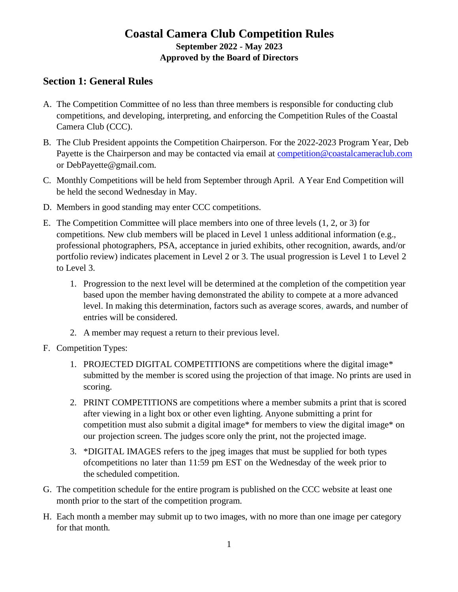# **Coastal Camera Club Competition Rules September 2022 - May 2023 Approved by the Board of Directors**

### **Section 1: General Rules**

- A. The Competition Committee of no less than three members is responsible for conducting club competitions, and developing, interpreting, and enforcing the Competition Rules of the Coastal Camera Club (CCC).
- B. The Club President appoints the Competition Chairperson. For the 2022-2023 Program Year, Deb Payette is the Chairperson and may be contacted via email at [competition@coastalcameraclub.com](mailto:competition@coastalcameraclub.com) or [DebPayette@gmail.com.](mailto:DebPayette@gmail.com)
- C. Monthly Competitions will be held from September through April. A Year End Competition will be held the second Wednesday in May.
- D. Members in good standing may enter CCC competitions.
- E. The Competition Committee will place members into one of three levels (1, 2, or 3) for competitions. New club members will be placed in Level 1 unless additional information (e.g., professional photographers, PSA, acceptance in juried exhibits, other recognition, awards, and/or portfolio review) indicates placement in Level 2 or 3. The usual progression is Level 1 to Level 2 to Level 3.
	- 1. Progression to the next level will be determined at the completion of the competition year based upon the member having demonstrated the ability to compete at a more advanced level. In making this determination, factors such as average scores, awards, and number of entries will be considered.
	- 2. A member may request a return to their previous level.
- F. Competition Types:
	- 1. PROJECTED DIGITAL COMPETITIONS are competitions where the digital image\* submitted by the member is scored using the projection of that image. No prints are used in scoring.
	- 2. PRINT COMPETITIONS are competitions where a member submits a print that is scored after viewing in a light box or other even lighting. Anyone submitting a print for competition must also submit a digital image\* for members to view the digital image\* on our projection screen. The judges score only the print, not the projected image.
	- 3. \*DIGITAL IMAGES refers to the jpeg images that must be supplied for both types ofcompetitions no later than 11:59 pm EST on the Wednesday of the week prior to the scheduled competition.
- G. The competition schedule for the entire program is published on the CCC website at least one month prior to the start of the competition program.
- H. Each month a member may submit up to two images, with no more than one image per category for that month.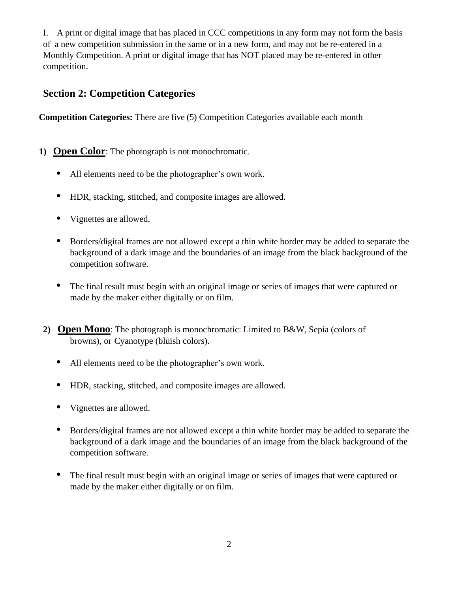I. A print or digital image that has placed in CCC competitions in any form may not form the basis of a new competition submission in the same or in a new form, and may not be re-entered in a Monthly Competition. A print or digital image that has NOT placed may be re-entered in other competition.

### **Section 2: Competition Categories**

**Competition Categories:** There are five (5) Competition Categories available each month

- **1) Open Color**: The photograph is not monochromatic.
	- All elements need to be the photographer's own work.
	- HDR, stacking, stitched, and composite images are allowed.
	- Vignettes are allowed.
	- Borders/digital frames are not allowed except a thin white border may be added to separate the background of a dark image and the boundaries of an image from the black background of the competition software.
	- The final result must begin with an original image or series of images that were captured or made by the maker either digitally or on film.
- **2) Open Mono**: The photograph is monochromatic: Limited to B&W, Sepia (colors of browns), or Cyanotype (bluish colors).
	- All elements need to be the photographer's own work.
	- HDR, stacking, stitched, and composite images are allowed.
	- Vignettes are allowed.
	- Borders/digital frames are not allowed except a thin white border may be added to separate the background of a dark image and the boundaries of an image from the black background of the competition software.
	- The final result must begin with an original image or series of images that were captured or made by the maker either digitally or on film.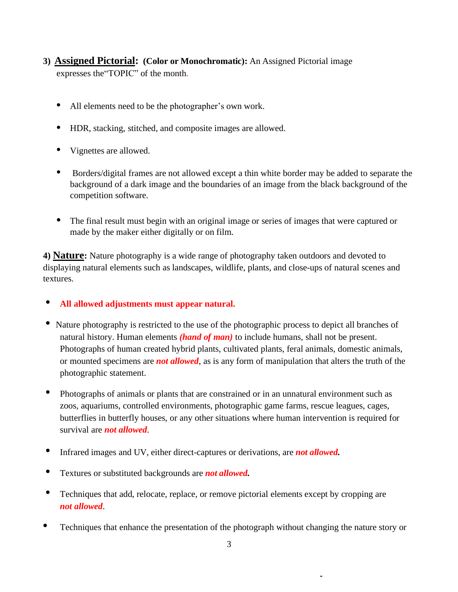- **3) Assigned Pictorial: (Color or Monochromatic):** An Assigned Pictorial image expresses the"TOPIC" of the month.
	- All elements need to be the photographer's own work.
	- HDR, stacking, stitched, and composite images are allowed.
	- Vignettes are allowed.
	- Borders/digital frames are not allowed except a thin white border may be added to separate the background of a dark image and the boundaries of an image from the black background of the competition software.
	- The final result must begin with an original image or series of images that were captured or made by the maker either digitally or on film.

**4) Nature:** Nature photography is a wide range of photography taken outdoors and devoted to displaying natural elements such as landscapes, wildlife, plants, and close-ups of natural scenes and textures.

- **• All allowed adjustments must appear natural.**
- Nature photography is restricted to the use of the photographic process to depict all branches of natural history. Human elements *(hand of man)* to include humans*,* shall not be present. Photographs of human created hybrid plants, cultivated plants, feral animals, domestic animals, or mounted specimens are *not allowed*, as is any form of manipulation that alters the truth of the photographic statement.
- **•** Photographs of animals or plants that are constrained or in an unnatural environment such as zoos, aquariums, controlled environments, photographic game farms, rescue leagues, cages, butterflies in butterfly houses, or any other situations where human intervention is required for survival are *not allowed*.
- **•** Infrared images and UV, either direct-captures or derivations, are *not allowed.*
- **•** Textures or substituted backgrounds are *not allowed.*
- Techniques that add, relocate, replace, or remove pictorial elements except by cropping are *not allowed*.
- **•** Techniques that enhance the presentation of the photograph without changing the nature story or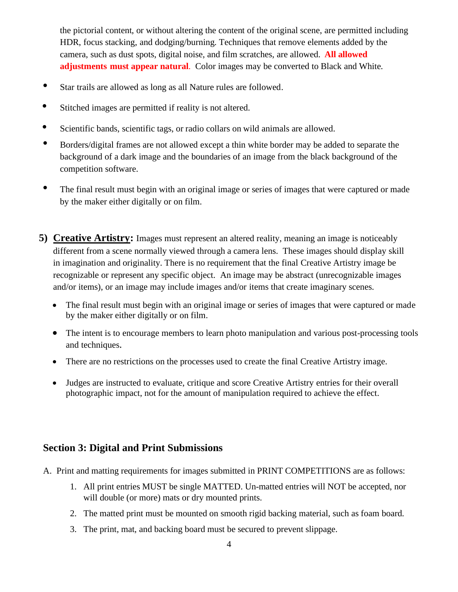the pictorial content, or without altering the content of the original scene, are permitted including HDR, focus stacking, and dodging/burning. Techniques that remove elements added by the camera, such as dust spots, digital noise, and film scratches, are allowed. **All allowed adjustments must appear natural**. Color images may be converted to Black and White.

- **•** Star trails are allowed as long as all Nature rules are followed.
- **•** Stitched images are permitted if reality is not altered.
- **•** Scientific bands, scientific tags, or radio collars on wild animals are allowed.
- **•** Borders/digital frames are not allowed except a thin white border may be added to separate the background of a dark image and the boundaries of an image from the black background of the competition software.
- The final result must begin with an original image or series of images that were captured or made by the maker either digitally or on film.
- **5) Creative Artistry:** Images must represent an altered reality, meaning an image is noticeably different from a scene normally viewed through a camera lens. These images should display skill in imagination and originality. There is no requirement that the final Creative Artistry image be recognizable or represent any specific object. An image may be abstract (unrecognizable images and/or items), or an image may include images and/or items that create imaginary scenes.
	- The final result must begin with an original image or series of images that were captured or made by the maker either digitally or on film.
	- The intent is to encourage members to learn photo manipulation and various post-processing tools and techniques.
	- There are no restrictions on the processes used to create the final Creative Artistry image.
	- Judges are instructed to evaluate, critique and score Creative Artistry entries for their overall photographic impact, not for the amount of manipulation required to achieve the effect.

### **Section 3: Digital and Print Submissions**

- A. Print and matting requirements for images submitted in PRINT COMPETITIONS are as follows:
	- 1. All print entries MUST be single MATTED. Un-matted entries will NOT be accepted, nor will double (or more) mats or dry mounted prints.
	- 2. The matted print must be mounted on smooth rigid backing material, such as foam board.
	- 3. The print, mat, and backing board must be secured to prevent slippage.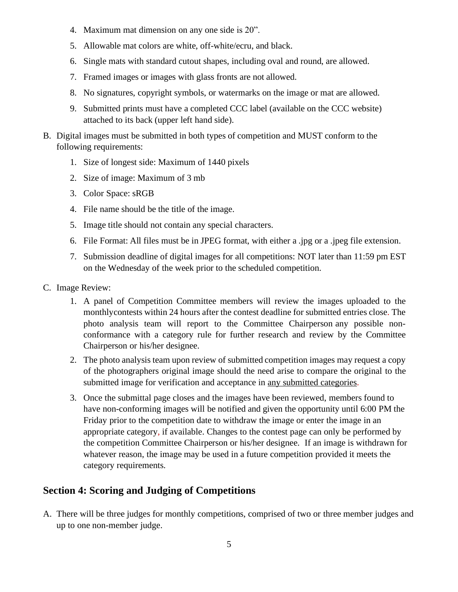- 4. Maximum mat dimension on any one side is 20".
- 5. Allowable mat colors are white, off-white/ecru, and black.
- 6. Single mats with standard cutout shapes, including oval and round, are allowed.
- 7. Framed images or images with glass fronts are not allowed.
- 8. No signatures, copyright symbols, or watermarks on the image or mat are allowed.
- 9. Submitted prints must have a completed CCC label (available on the CCC website) attached to its back (upper left hand side).
- B. Digital images must be submitted in both types of competition and MUST conform to the following requirements:
	- 1. Size of longest side: Maximum of 1440 pixels
	- 2. Size of image: Maximum of 3 mb
	- 3. Color Space: sRGB
	- 4. File name should be the title of the image.
	- 5. Image title should not contain any special characters.
	- 6. File Format: All files must be in JPEG format, with either a .jpg or a .jpeg file extension.
	- 7. Submission deadline of digital images for all competitions: NOT later than 11:59 pm EST on the Wednesday of the week prior to the scheduled competition.
- C. Image Review:
	- 1. A panel of Competition Committee members will review the images uploaded to the monthlycontests within 24 hours after the contest deadline for submitted entries close. The photo analysis team will report to the Committee Chairperson any possible nonconformance with a category rule for further research and review by the Committee Chairperson or his/her designee.
	- 2. The photo analysis team upon review of submitted competition images may request a copy of the photographers original image should the need arise to compare the original to the submitted image for verification and acceptance in any submitted categories.
	- 3. Once the submittal page closes and the images have been reviewed, members found to have non-conforming images will be notified and given the opportunity until 6:00 PM the Friday prior to the competition date to withdraw the image or enter the image in an appropriate category, if available. Changes to the contest page can only be performed by the competition Committee Chairperson or his/her designee. If an image is withdrawn for whatever reason, the image may be used in a future competition provided it meets the category requirements.

# **Section 4: Scoring and Judging of Competitions**

A. There will be three judges for monthly competitions, comprised of two or three member judges and up to one non-member judge.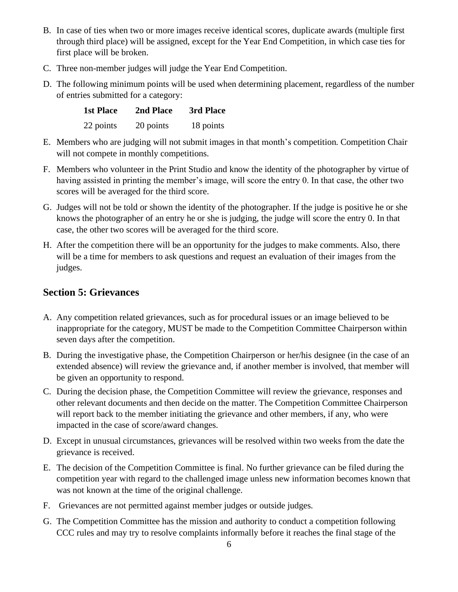- B. In case of ties when two or more images receive identical scores, duplicate awards (multiple first through third place) will be assigned, except for the Year End Competition, in which case ties for first place will be broken.
- C. Three non-member judges will judge the Year End Competition.
- D. The following minimum points will be used when determining placement, regardless of the number of entries submitted for a category:

| <b>1st Place</b> | 2nd Place | 3rd Place |
|------------------|-----------|-----------|
| 22 points        | 20 points | 18 points |

- E. Members who are judging will not submit images in that month's competition. Competition Chair will not compete in monthly competitions.
- F. Members who volunteer in the Print Studio and know the identity of the photographer by virtue of having assisted in printing the member's image, will score the entry 0. In that case, the other two scores will be averaged for the third score.
- G. Judges will not be told or shown the identity of the photographer. If the judge is positive he or she knows the photographer of an entry he or she is judging, the judge will score the entry 0. In that case, the other two scores will be averaged for the third score.
- H. After the competition there will be an opportunity for the judges to make comments. Also, there will be a time for members to ask questions and request an evaluation of their images from the judges.

#### **Section 5: Grievances**

- A. Any competition related grievances, such as for procedural issues or an image believed to be inappropriate for the category, MUST be made to the Competition Committee Chairperson within seven days after the competition.
- B. During the investigative phase, the Competition Chairperson or her/his designee (in the case of an extended absence) will review the grievance and, if another member is involved, that member will be given an opportunity to respond.
- C. During the decision phase, the Competition Committee will review the grievance, responses and other relevant documents and then decide on the matter. The Competition Committee Chairperson will report back to the member initiating the grievance and other members, if any, who were impacted in the case of score/award changes.
- D. Except in unusual circumstances, grievances will be resolved within two weeks from the date the grievance is received.
- E. The decision of the Competition Committee is final. No further grievance can be filed during the competition year with regard to the challenged image unless new information becomes known that was not known at the time of the original challenge.
- F. Grievances are not permitted against member judges or outside judges.
- G. The Competition Committee has the mission and authority to conduct a competition following CCC rules and may try to resolve complaints informally before it reaches the final stage of the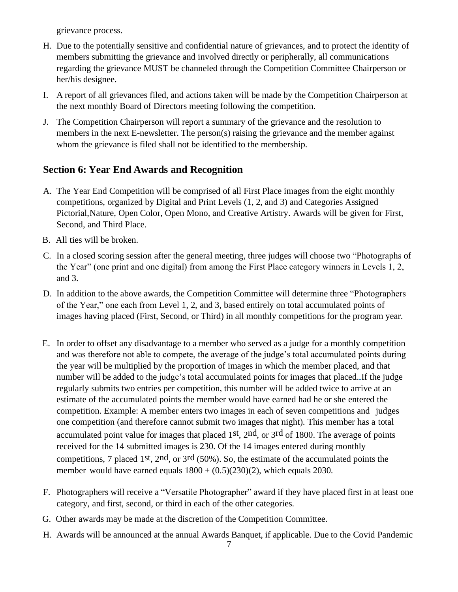grievance process.

- H. Due to the potentially sensitive and confidential nature of grievances, and to protect the identity of members submitting the grievance and involved directly or peripherally, all communications regarding the grievance MUST be channeled through the Competition Committee Chairperson or her/his designee.
- I. A report of all grievances filed, and actions taken will be made by the Competition Chairperson at the next monthly Board of Directors meeting following the competition.
- J. The Competition Chairperson will report a summary of the grievance and the resolution to members in the next E-newsletter. The person(s) raising the grievance and the member against whom the grievance is filed shall not be identified to the membership.

## **Section 6: Year End Awards and Recognition**

- A. The Year End Competition will be comprised of all First Place images from the eight monthly competitions, organized by Digital and Print Levels (1, 2, and 3) and Categories Assigned Pictorial,Nature, Open Color, Open Mono, and Creative Artistry. Awards will be given for First, Second, and Third Place.
- B. All ties will be broken.
- C. In a closed scoring session after the general meeting, three judges will choose two "Photographs of the Year" (one print and one digital) from among the First Place category winners in Levels 1, 2, and 3.
- D. In addition to the above awards, the Competition Committee will determine three "Photographers of the Year," one each from Level 1, 2, and 3, based entirely on total accumulated points of images having placed (First, Second, or Third) in all monthly competitions for the program year.
- E. In order to offset any disadvantage to a member who served as a judge for a monthly competition and was therefore not able to compete, the average of the judge's total accumulated points during the year will be multiplied by the proportion of images in which the member placed, and that number will be added to the judge's total accumulated points for images that placed. If the judge regularly submits two entries per competition, this number will be added twice to arrive at an estimate of the accumulated points the member would have earned had he or she entered the competition. Example: A member enters two images in each of seven competitions and judges one competition (and therefore cannot submit two images that night). This member has a total accumulated point value for images that placed 1st, 2nd, or 3rd of 1800. The average of points received for the 14 submitted images is 230. Of the 14 images entered during monthly competitions, 7 placed 1st, 2nd, or 3rd (50%). So, the estimate of the accumulated points the member would have earned equals  $1800 + (0.5)(230)(2)$ , which equals 2030.
- F. Photographers will receive a "Versatile Photographer" award if they have placed first in at least one category, and first, second, or third in each of the other categories.
- G. Other awards may be made at the discretion of the Competition Committee.
- H. Awards will be announced at the annual Awards Banquet, if applicable. Due to the Covid Pandemic